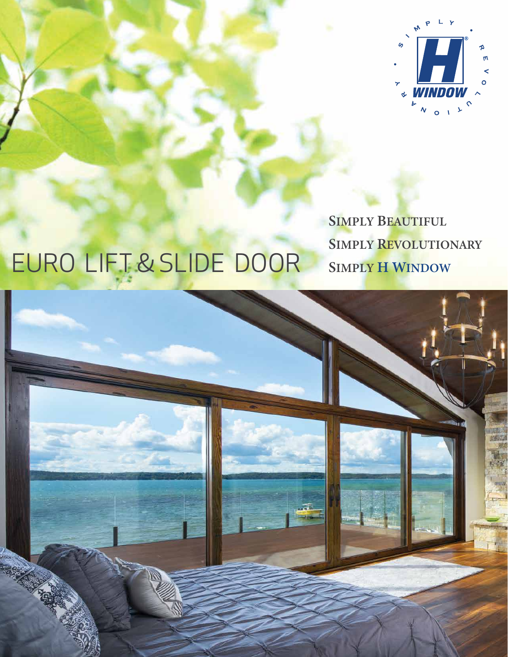

## EURO LIFT & SLIDE DOOR

**SIMPLY BEAUTIFUL SIMPLY REVOLUTIONARY SIMPLY H WINDOW**